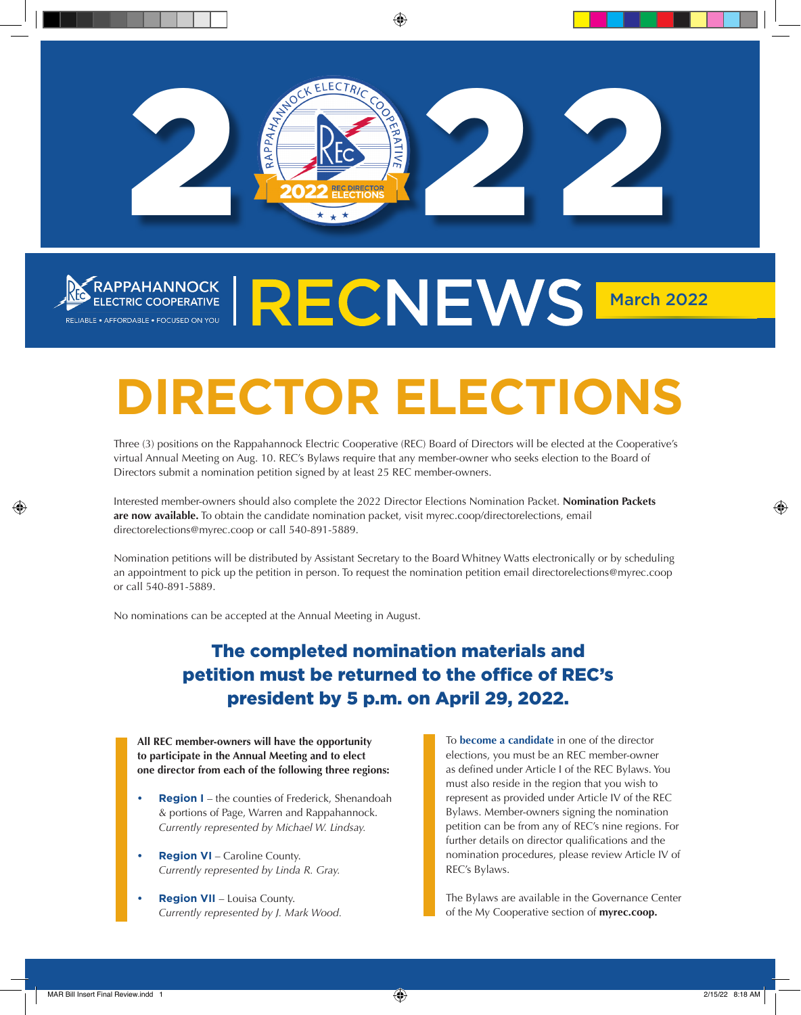

## RAPPAHANNOCK ELECTRIC COOPERATIVE RELECTRIC COOPERATIVE RELIABLE • AFFORDABLE • FOCUSED ON YOU

# **DIRECTOR ELECTIONS**

Three (3) positions on the Rappahannock Electric Cooperative (REC) Board of Directors will be elected at the Cooperative's virtual Annual Meeting on Aug. 10. REC's Bylaws require that any member-owner who seeks election to the Board of Directors submit a nomination petition signed by at least 25 REC member-owners.

Interested member-owners should also complete the 2022 Director Elections Nomination Packet. **Nomination Packets are now available.** To obtain the candidate nomination packet, visit myrec.coop/directorelections, email directorelections@myrec.coop or call 540-891-5889.

Nomination petitions will be distributed by Assistant Secretary to the Board Whitney Watts electronically or by scheduling an appointment to pick up the petition in person. To request the nomination petition email directorelections@myrec.coop or call 540-891-5889.

No nominations can be accepted at the Annual Meeting in August.

### The completed nomination materials and petition must be returned to the office of REC's president by 5 p.m. on April 29, 2022.

**All REC member-owners will have the opportunity to participate in the Annual Meeting and to elect one director from each of the following three regions:**

- **• Region I** the counties of Frederick, Shenandoah & portions of Page, Warren and Rappahannock. *Currently represented by Michael W. Lindsay.*
- **• Region VI** Caroline County. *Currently represented by Linda R. Gray.*
- **• Region VII** Louisa County. *Currently represented by J. Mark Wood.*

To **become a candidate** in one of the director elections, you must be an REC member-owner as defined under Article I of the REC Bylaws. You must also reside in the region that you wish to represent as provided under Article IV of the REC Bylaws. Member-owners signing the nomination petition can be from any of REC's nine regions. For further details on director qualifications and the nomination procedures, please review Article IV of REC's Bylaws.

The Bylaws are available in the Governance Center of the My Cooperative section of **myrec.coop.**

⊕

⊕